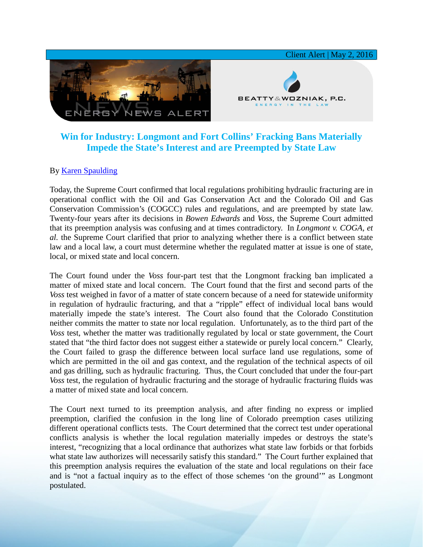

## **Win for Industry: Longmont and Fort Collins' Fracking Bans Materially Impede the State's Interest and are Preempted by State Law**

## By [Karen Spaulding](http://www.bwenergylaw.com/#!karen-spaulding/c1fe8)

Today, the Supreme Court confirmed that local regulations prohibiting hydraulic fracturing are in operational conflict with the Oil and Gas Conservation Act and the Colorado Oil and Gas Conservation Commission's (COGCC) rules and regulations, and are preempted by state law. Twenty-four years after its decisions in *Bowen Edwards* and *Voss,* the Supreme Court admitted that its preemption analysis was confusing and at times contradictory. In *Longmont v. COGA, et al.* the Supreme Court clarified that prior to analyzing whether there is a conflict between state law and a local law, a court must determine whether the regulated matter at issue is one of state, local, or mixed state and local concern.

The Court found under the *Voss* four-part test that the Longmont fracking ban implicated a matter of mixed state and local concern. The Court found that the first and second parts of the *Voss* test weighed in favor of a matter of state concern because of a need for statewide uniformity in regulation of hydraulic fracturing, and that a "ripple" effect of individual local bans would materially impede the state's interest. The Court also found that the Colorado Constitution neither commits the matter to state nor local regulation. Unfortunately, as to the third part of the *Voss* test, whether the matter was traditionally regulated by local or state government, the Court stated that "the third factor does not suggest either a statewide or purely local concern." Clearly, the Court failed to grasp the difference between local surface land use regulations, some of which are permitted in the oil and gas context, and the regulation of the technical aspects of oil and gas drilling, such as hydraulic fracturing. Thus, the Court concluded that under the four-part *Voss* test, the regulation of hydraulic fracturing and the storage of hydraulic fracturing fluids was a matter of mixed state and local concern.

The Court next turned to its preemption analysis, and after finding no express or implied preemption, clarified the confusion in the long line of Colorado preemption cases utilizing different operational conflicts tests. The Court determined that the correct test under operational conflicts analysis is whether the local regulation materially impedes or destroys the state's interest, "recognizing that a local ordinance that authorizes what state law forbids or that forbids what state law authorizes will necessarily satisfy this standard." The Court further explained that this preemption analysis requires the evaluation of the state and local regulations on their face and is "not a factual inquiry as to the effect of those schemes 'on the ground'" as Longmont postulated.